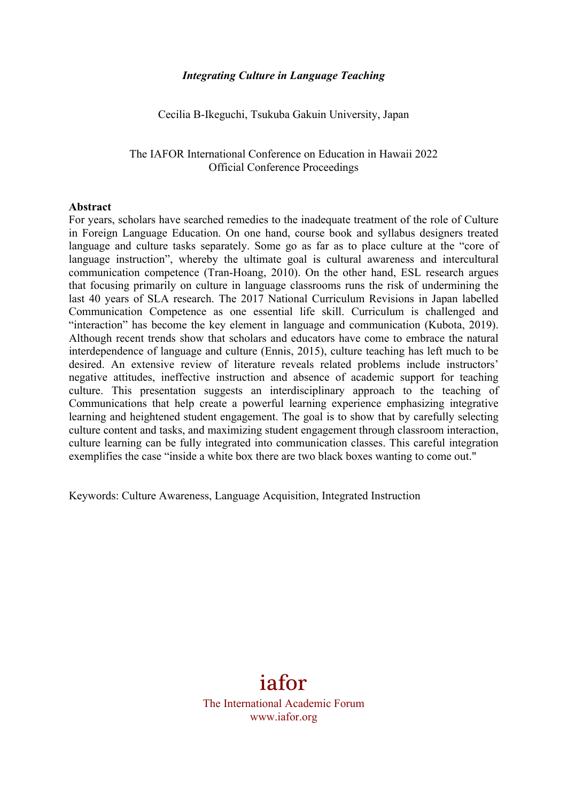## *Integrating Culture in Language Teaching*

Cecilia B-Ikeguchi, Tsukuba Gakuin University, Japan

### The IAFOR International Conference on Education in Hawaii 2022 Official Conference Proceedings

#### **Abstract**

For years, scholars have searched remedies to the inadequate treatment of the role of Culture in Foreign Language Education. On one hand, course book and syllabus designers treated language and culture tasks separately. Some go as far as to place culture at the "core of language instruction", whereby the ultimate goal is cultural awareness and intercultural communication competence (Tran-Hoang, 2010). On the other hand, ESL research argues that focusing primarily on culture in language classrooms runs the risk of undermining the last 40 years of SLA research. The 2017 National Curriculum Revisions in Japan labelled Communication Competence as one essential life skill. Curriculum is challenged and "interaction" has become the key element in language and communication (Kubota, 2019). Although recent trends show that scholars and educators have come to embrace the natural interdependence of language and culture (Ennis, 2015), culture teaching has left much to be desired. An extensive review of literature reveals related problems include instructors' negative attitudes, ineffective instruction and absence of academic support for teaching culture. This presentation suggests an interdisciplinary approach to the teaching of Communications that help create a powerful learning experience emphasizing integrative learning and heightened student engagement. The goal is to show that by carefully selecting culture content and tasks, and maximizing student engagement through classroom interaction, culture learning can be fully integrated into communication classes. This careful integration exemplifies the case "inside a white box there are two black boxes wanting to come out."

Keywords: Culture Awareness, Language Acquisition, Integrated Instruction

# iafor

The International Academic Forum www.iafor.org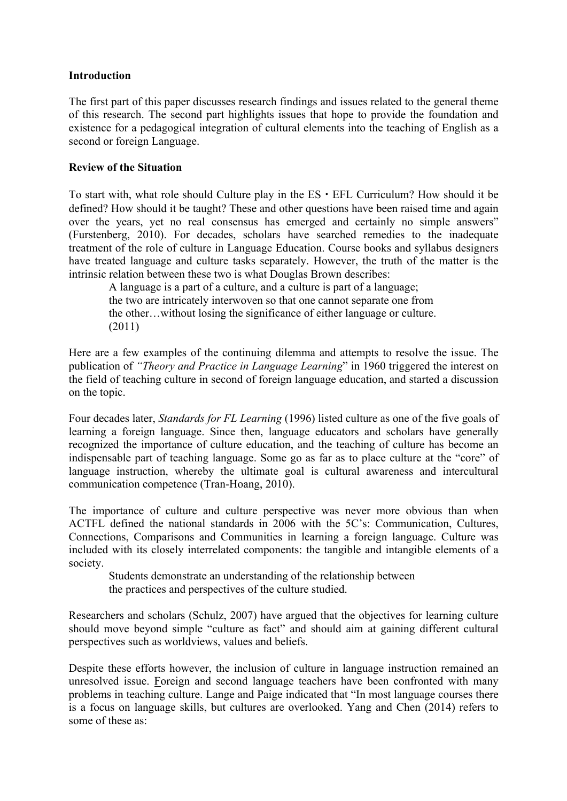## **Introduction**

The first part of this paper discusses research findings and issues related to the general theme of this research. The second part highlights issues that hope to provide the foundation and existence for a pedagogical integration of cultural elements into the teaching of English as a second or foreign Language.

## **Review of the Situation**

To start with, what role should Culture play in the  $ES \cdot EFL$  Curriculum? How should it be defined? How should it be taught? These and other questions have been raised time and again over the years, yet no real consensus has emerged and certainly no simple answers" (Furstenberg, 2010). For decades, scholars have searched remedies to the inadequate treatment of the role of culture in Language Education. Course books and syllabus designers have treated language and culture tasks separately. However, the truth of the matter is the intrinsic relation between these two is what Douglas Brown describes:

A language is a part of a culture, and a culture is part of a language; the two are intricately interwoven so that one cannot separate one from the other…without losing the significance of either language or culture. (2011)

Here are a few examples of the continuing dilemma and attempts to resolve the issue. The publication of *"Theory and Practice in Language Learning*" in 1960 triggered the interest on the field of teaching culture in second of foreign language education, and started a discussion on the topic.

Four decades later, *Standards for FL Learning* (1996) listed culture as one of the five goals of learning a foreign language. Since then, language educators and scholars have generally recognized the importance of culture education, and the teaching of culture has become an indispensable part of teaching language. Some go as far as to place culture at the "core" of language instruction, whereby the ultimate goal is cultural awareness and intercultural communication competence (Tran-Hoang, 2010).

The importance of culture and culture perspective was never more obvious than when ACTFL defined the national standards in 2006 with the 5C's: Communication, Cultures, Connections, Comparisons and Communities in learning a foreign language. Culture was included with its closely interrelated components: the tangible and intangible elements of a society.

Students demonstrate an understanding of the relationship between the practices and perspectives of the culture studied.

Researchers and scholars (Schulz, 2007) have argued that the objectives for learning culture should move beyond simple "culture as fact" and should aim at gaining different cultural perspectives such as worldviews, values and beliefs.

Despite these efforts however, the inclusion of culture in language instruction remained an unresolved issue. Foreign and second language teachers have been confronted with many problems in teaching culture. Lange and Paige indicated that "In most language courses there is a focus on language skills, but cultures are overlooked. Yang and Chen (2014) refers to some of these as: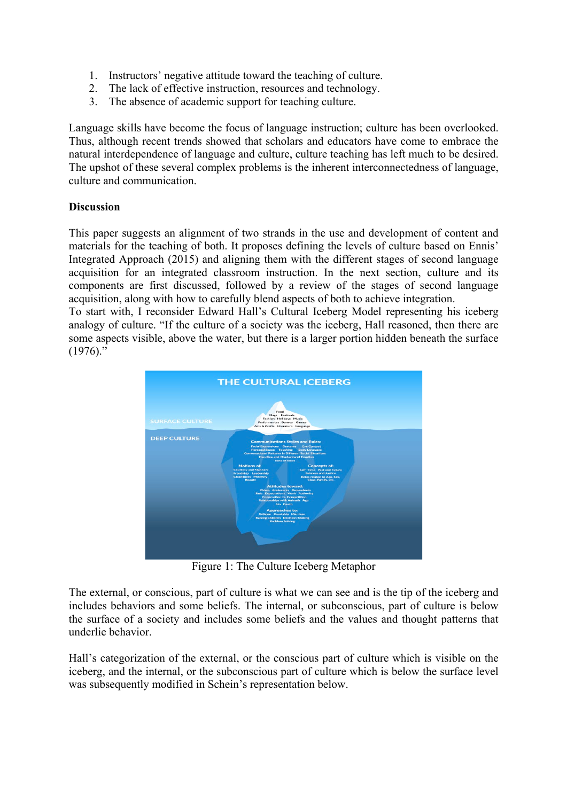- 1. Instructors' negative attitude toward the teaching of culture.
- 2. The lack of effective instruction, resources and technology.
- 3. The absence of academic support for teaching culture.

Language skills have become the focus of language instruction; culture has been overlooked. Thus, although recent trends showed that scholars and educators have come to embrace the natural interdependence of language and culture, culture teaching has left much to be desired. The upshot of these several complex problems is the inherent interconnectedness of language, culture and communication.

# **Discussion**

This paper suggests an alignment of two strands in the use and development of content and materials for the teaching of both. It proposes defining the levels of culture based on Ennis' Integrated Approach (2015) and aligning them with the different stages of second language acquisition for an integrated classroom instruction. In the next section, culture and its components are first discussed, followed by a review of the stages of second language acquisition, along with how to carefully blend aspects of both to achieve integration.

To start with, I reconsider Edward Hall's Cultural Iceberg Model representing his iceberg analogy of culture. "If the culture of a society was the iceberg, Hall reasoned, then there are some aspects visible, above the water, but there is a larger portion hidden beneath the surface  $(1976)$ ."



Figure 1: The Culture Iceberg Metaphor

The external, or conscious, part of culture is what we can see and is the tip of the iceberg and includes behaviors and some beliefs. The internal, or subconscious, part of culture is below the surface of a society and includes some beliefs and the values and thought patterns that underlie behavior.

Hall's categorization of the external, or the conscious part of culture which is visible on the iceberg, and the internal, or the subconscious part of culture which is below the surface level was subsequently modified in Schein's representation below.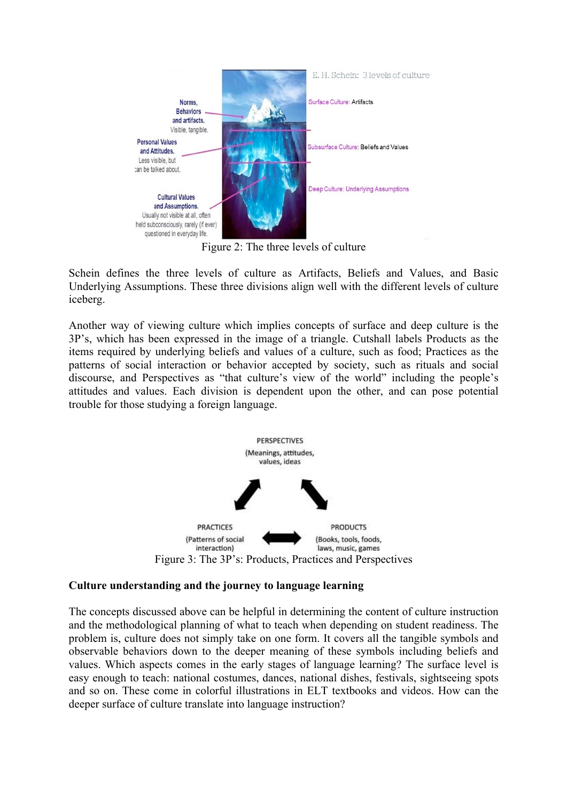

Figure 2: The three levels of culture

Schein defines the three levels of culture as Artifacts, Beliefs and Values, and Basic Underlying Assumptions. These three divisions align well with the different levels of culture iceberg.

Another way of viewing culture which implies concepts of surface and deep culture is the 3P's, which has been expressed in the image of a triangle. Cutshall labels Products as the items required by underlying beliefs and values of a culture, such as food; Practices as the patterns of social interaction or behavior accepted by society, such as rituals and social discourse, and Perspectives as "that culture's view of the world" including the people's attitudes and values. Each division is dependent upon the other, and can pose potential trouble for those studying a foreign language.



# **Culture understanding and the journey to language learning**

The concepts discussed above can be helpful in determining the content of culture instruction and the methodological planning of what to teach when depending on student readiness. The problem is, culture does not simply take on one form. It covers all the tangible symbols and observable behaviors down to the deeper meaning of these symbols including beliefs and values. Which aspects comes in the early stages of language learning? The surface level is easy enough to teach: national costumes, dances, national dishes, festivals, sightseeing spots and so on. These come in colorful illustrations in ELT textbooks and videos. How can the deeper surface of culture translate into language instruction?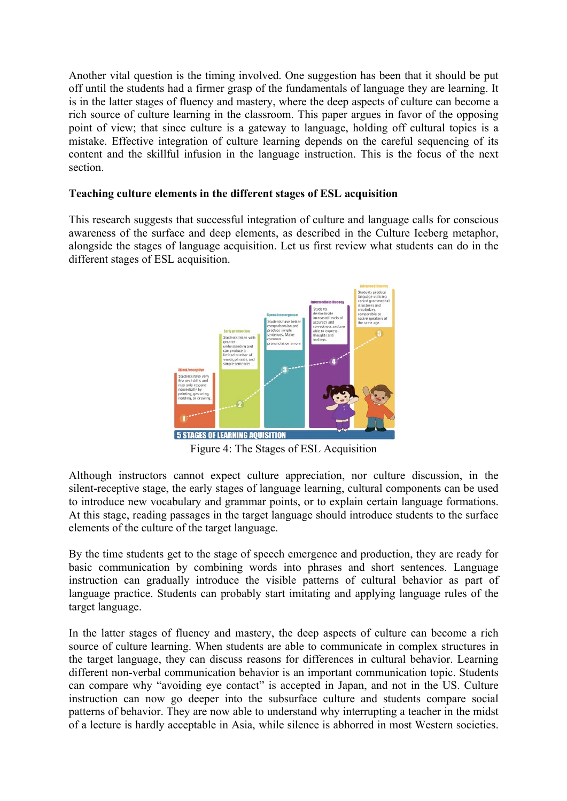Another vital question is the timing involved. One suggestion has been that it should be put off until the students had a firmer grasp of the fundamentals of language they are learning. It is in the latter stages of fluency and mastery, where the deep aspects of culture can become a rich source of culture learning in the classroom. This paper argues in favor of the opposing point of view; that since culture is a gateway to language, holding off cultural topics is a mistake. Effective integration of culture learning depends on the careful sequencing of its content and the skillful infusion in the language instruction. This is the focus of the next section.

## **Teaching culture elements in the different stages of ESL acquisition**

This research suggests that successful integration of culture and language calls for conscious awareness of the surface and deep elements, as described in the Culture Iceberg metaphor, alongside the stages of language acquisition. Let us first review what students can do in the different stages of ESL acquisition.



Figure 4: The Stages of ESL Acquisition

Although instructors cannot expect culture appreciation, nor culture discussion, in the silent-receptive stage, the early stages of language learning, cultural components can be used to introduce new vocabulary and grammar points, or to explain certain language formations. At this stage, reading passages in the target language should introduce students to the surface elements of the culture of the target language.

By the time students get to the stage of speech emergence and production, they are ready for basic communication by combining words into phrases and short sentences. Language instruction can gradually introduce the visible patterns of cultural behavior as part of language practice. Students can probably start imitating and applying language rules of the target language.

In the latter stages of fluency and mastery, the deep aspects of culture can become a rich source of culture learning. When students are able to communicate in complex structures in the target language, they can discuss reasons for differences in cultural behavior. Learning different non-verbal communication behavior is an important communication topic. Students can compare why "avoiding eye contact" is accepted in Japan, and not in the US. Culture instruction can now go deeper into the subsurface culture and students compare social patterns of behavior. They are now able to understand why interrupting a teacher in the midst of a lecture is hardly acceptable in Asia, while silence is abhorred in most Western societies.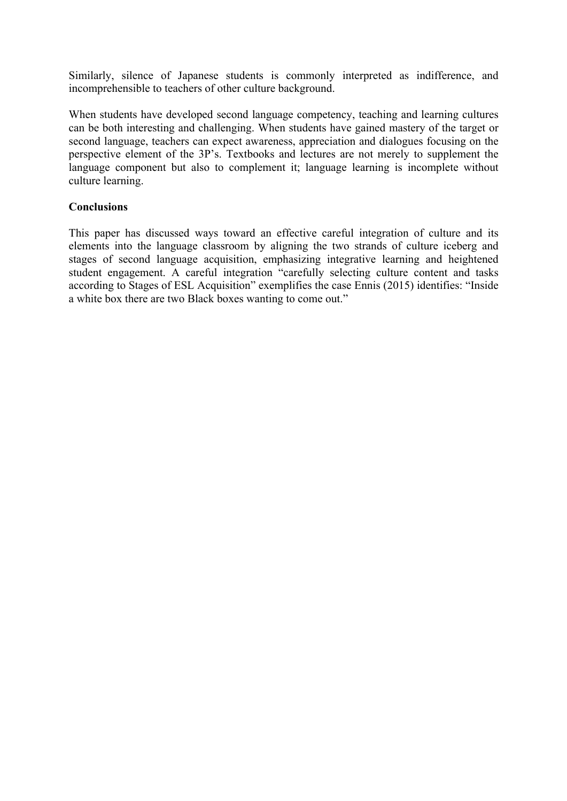Similarly, silence of Japanese students is commonly interpreted as indifference, and incomprehensible to teachers of other culture background.

When students have developed second language competency, teaching and learning cultures can be both interesting and challenging. When students have gained mastery of the target or second language, teachers can expect awareness, appreciation and dialogues focusing on the perspective element of the 3P's. Textbooks and lectures are not merely to supplement the language component but also to complement it; language learning is incomplete without culture learning.

## **Conclusions**

This paper has discussed ways toward an effective careful integration of culture and its elements into the language classroom by aligning the two strands of culture iceberg and stages of second language acquisition, emphasizing integrative learning and heightened student engagement. A careful integration "carefully selecting culture content and tasks according to Stages of ESL Acquisition" exemplifies the case Ennis (2015) identifies: "Inside a white box there are two Black boxes wanting to come out."